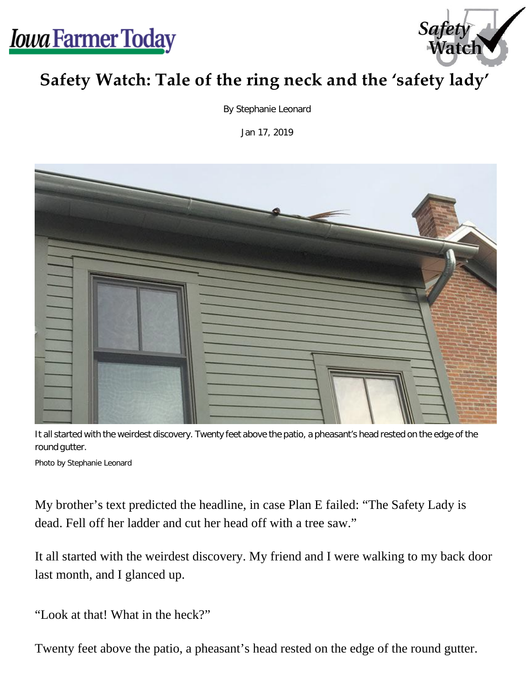



## **Safety Watch: Tale of the ring neck and the 'safety lady'**

By Stephanie Leonard

Jan 17, 2019



It all started with the weirdest discovery. Twenty feet above the patio, a pheasant's head rested on the edge of the round gutter.

Photo by Stephanie Leonard

My brother's text predicted the headline, in case Plan E failed: "The Safety Lady is dead. Fell off her ladder and cut her head off with a tree saw."

It all started with the weirdest discovery. My friend and I were walking to my back door last month, and I glanced up.

"Look at that! What in the heck?"

Twenty feet above the patio, a pheasant's head rested on the edge of the round gutter.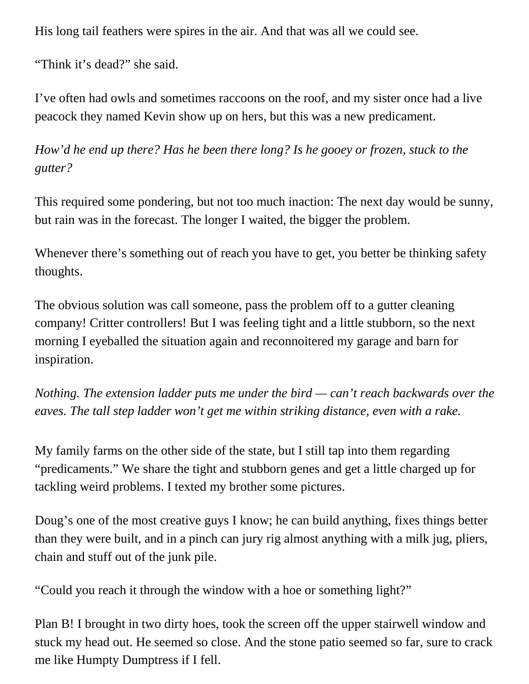His long tail feathers were spires in the air. And that was all we could see.

"Think it's dead?" she said.

I've often had owls and sometimes raccoons on the roof, and my sister once had a live peacock they named Kevin show up on hers, but this was a new predicament.

*How'd he end up there? Has he been there long? Is he gooey or frozen, stuck to the gutter?*

This required some pondering, but not too much inaction: The next day would be sunny, but rain was in the forecast. The longer I waited, the bigger the problem.

Whenever there's something out of reach you have to get, you better be thinking safety thoughts.

The obvious solution was call someone, pass the problem off to a gutter cleaning company! Critter controllers! But I was feeling tight and a little stubborn, so the next morning I eyeballed the situation again and reconnoitered my garage and barn for inspiration.

*Nothing. The extension ladder puts me under the bird — can't reach backwards over the eaves. The tall step ladder won't get me within striking distance, even with a rake.*

My family farms on the other side of the state, but I still tap into them regarding "predicaments." We share the tight and stubborn genes and get a little charged up for tackling weird problems. I texted my brother some pictures.

Doug's one of the most creative guys I know; he can build anything, fixes things better than they were built, and in a pinch can jury rig almost anything with a milk jug, pliers, chain and stuff out of the junk pile.

"Could you reach it through the window with a hoe or something light?"

Plan B! I brought in two dirty hoes, took the screen off the upper stairwell window and stuck my head out. He seemed so close. And the stone patio seemed so far, sure to crack me like Humpty Dumptress if I fell.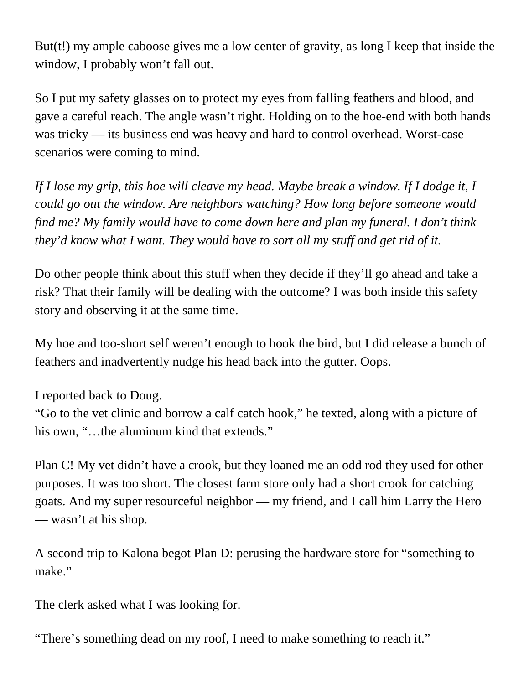But(t!) my ample caboose gives me a low center of gravity, as long I keep that inside the window, I probably won't fall out.

So I put my safety glasses on to protect my eyes from falling feathers and blood, and gave a careful reach. The angle wasn't right. Holding on to the hoe-end with both hands was tricky — its business end was heavy and hard to control overhead. Worst-case scenarios were coming to mind.

*If I lose my grip, this hoe will cleave my head. Maybe break a window. If I dodge it, I could go out the window. Are neighbors watching? How long before someone would find me? My family would have to come down here and plan my funeral. I don't think they'd know what I want. They would have to sort all my stuff and get rid of it.*

Do other people think about this stuff when they decide if they'll go ahead and take a risk? That their family will be dealing with the outcome? I was both inside this safety story and observing it at the same time.

My hoe and too-short self weren't enough to hook the bird, but I did release a bunch of feathers and inadvertently nudge his head back into the gutter. Oops.

I reported back to Doug.

"Go to the vet clinic and borrow a calf catch hook," he texted, along with a picture of his own, "...the aluminum kind that extends."

Plan C! My vet didn't have a crook, but they loaned me an odd rod they used for other purposes. It was too short. The closest farm store only had a short crook for catching goats. And my super resourceful neighbor — my friend, and I call him Larry the Hero — wasn't at his shop.

A second trip to Kalona begot Plan D: perusing the hardware store for "something to make."

The clerk asked what I was looking for.

"There's something dead on my roof, I need to make something to reach it."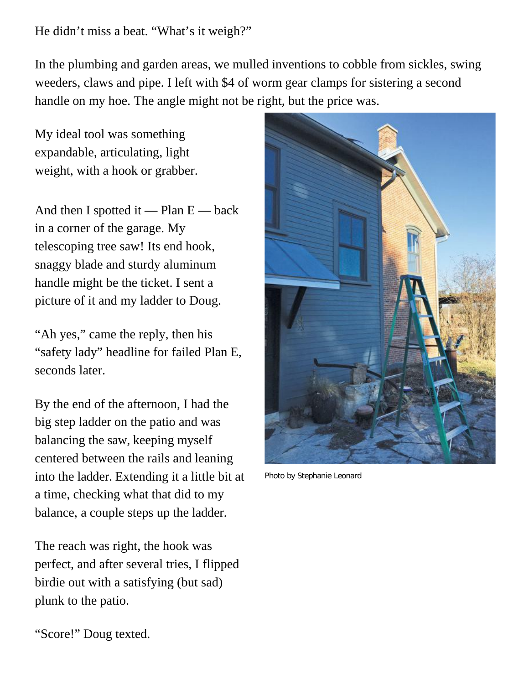He didn't miss a beat. "What's it weigh?"

In the plumbing and garden areas, we mulled inventions to cobble from sickles, swing weeders, claws and pipe. I left with \$4 of worm gear clamps for sistering a second handle on my hoe. The angle might not be right, but the price was.

My ideal tool was something expandable, articulating, light weight, with a hook or grabber.

And then I spotted it — Plan  $E$  — back in a corner of the garage. My telescoping tree saw! Its end hook, snaggy blade and sturdy aluminum handle might be the ticket. I sent a picture of it and my ladder to Doug.

"Ah yes," came the reply, then his "safety lady" headline for failed Plan E, seconds later.

By the end of the afternoon, I had the big step ladder on the patio and was balancing the saw, keeping myself centered between the rails and leaning into the ladder. Extending it a little bit at a time, checking what that did to my balance, a couple steps up the ladder.

The reach was right, the hook was perfect, and after several tries, I flipped birdie out with a satisfying (but sad) plunk to the patio.



Photo by Stephanie Leonard

"Score!" Doug texted.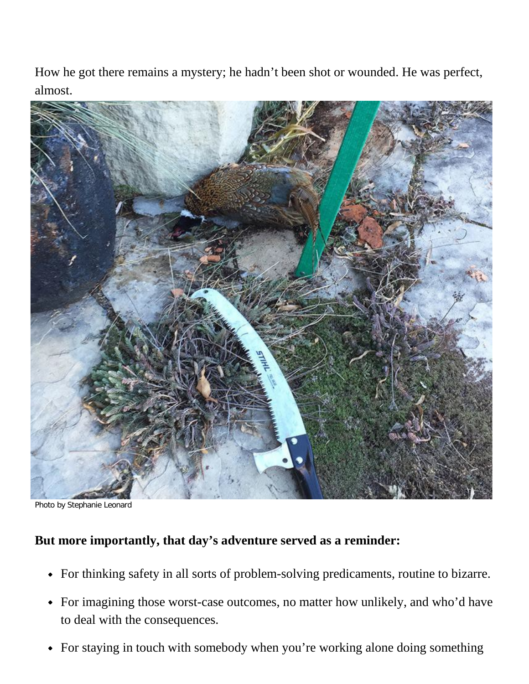How he got there remains a mystery; he hadn't been shot or wounded. He was perfect, almost.



Photo by Stephanie Leonard

## **But more importantly, that day's adventure served as a reminder:**

- For thinking safety in all sorts of problem-solving predicaments, routine to bizarre.
- For imagining those worst-case outcomes, no matter how unlikely, and who'd have to deal with the consequences.
- For staying in touch with somebody when you're working alone doing something